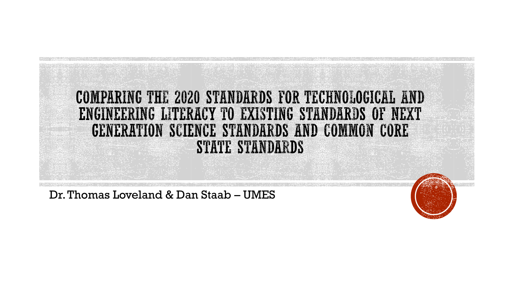

Dr. Thomas Loveland & Dan Staab - UMES

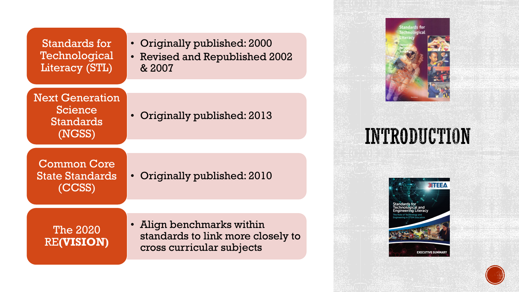| Standards for  |
|----------------|
| Technological  |
| Literacy (STL) |

Next Generation Science Standards (NGSS)

- Originally published: 2000
- Revised and Republished 2002 & 2007

• Originally published: 2013

Common Core State Standards (CCSS)

• Originally published: 2010

The 2020 RE**(VISION)** • Align benchmarks within standards to link more closely to cross curricular subjects



### INTRODUCTION



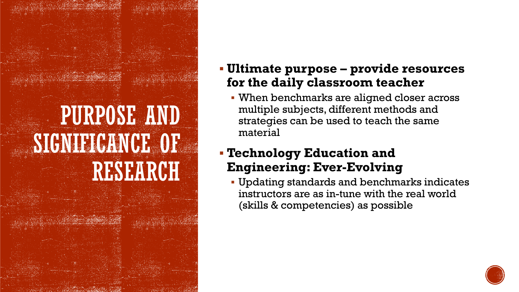# PURPOSE AND SIGNIFICANCE OF RESEARCH

#### **Ultimate purpose – provide resources for the daily classroom teacher**

 When benchmarks are aligned closer across multiple subjects, different methods and strategies can be used to teach the same material

#### **Technology Education and Engineering: Ever-Evolving**

 Updating standards and benchmarks indicates instructors are as in-tune with the real world (skills & competencies) as possible

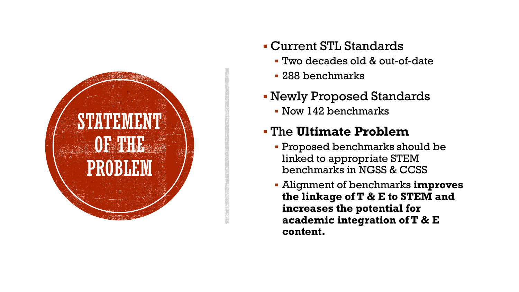

- Current STL Standards
	- Two decades old & out-of-date
	- 288 benchmarks
- Newly Proposed Standards
	- Now 142 benchmarks

#### The **Ultimate Problem**

- Proposed benchmarks should be linked to appropriate STEM benchmarks in NGSS & CCSS
- Alignment of benchmarks **improves the linkage of T & E to STEM and increases the potential for academic integration of T & E content.**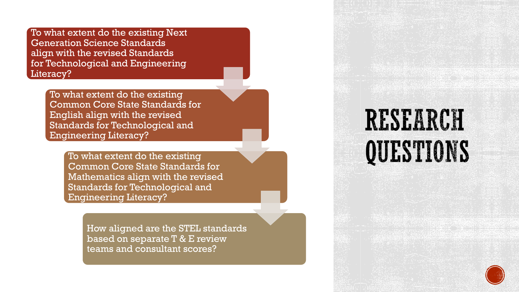To what extent do the existing Next Generation Science Standards align with the revised Standards for Technological and Engineering Literacy?

> To what extent do the existing Common Core State Standards for English align with the revised Standards for Technological and Engineering Literacy?

> > To what extent do the existing Common Core State Standards for Mathematics align with the revised Standards for Technological and Engineering Literacy?

> > > How aligned are the STEL standards based on separate T & E review teams and consultant scores?

# RESEARCH QUESTIONS

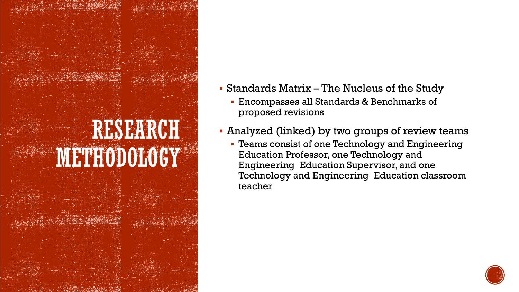

- Standards Matrix The Nucleus of the Study
	- Encompasses all Standards & Benchmarks of proposed revisions
- Analyzed (linked) by two groups of review teams
	- Teams consist of one Technology and Engineering Education Professor, one Technology and Engineering Education Supervisor, and one Technology and Engineering Education classroom teacher

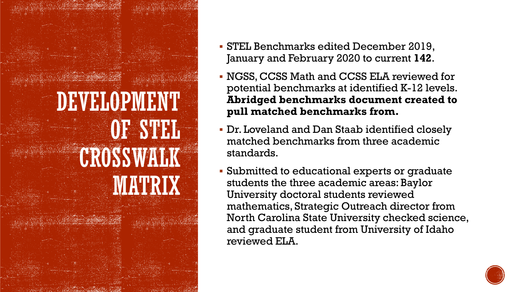

- STEL Benchmarks edited December 2019, January and February 2020 to current **142**.
- NGSS, CCSS Math and CCSS ELA reviewed for potential benchmarks at identified K-12 levels. **Abridged benchmarks document created to pull matched benchmarks from.**
- Dr. Loveland and Dan Staab identified closely matched benchmarks from three academic standards.
- Submitted to educational experts or graduate students the three academic areas: Baylor University doctoral students reviewed mathematics, Strategic Outreach director from North Carolina State University checked science, and graduate student from University of Idaho reviewed ELA.

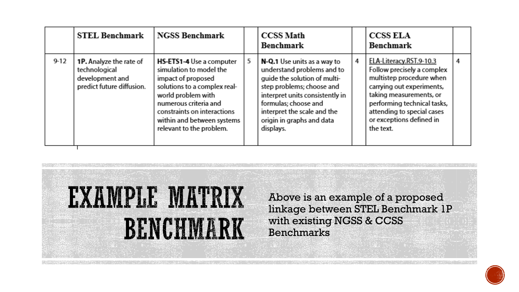|          | <b>STEL Benchmark</b>                                                                           | <b>NGSS Benchmark</b>                                                                                                                                                                                                                                    |    | <b>CCSS Math</b><br><b>Benchmark</b>                                                                                                                                                                                                                       |   | <b>CCSS ELA</b><br>Benchmark                                                                                                                                                                                                                    |   |
|----------|-------------------------------------------------------------------------------------------------|----------------------------------------------------------------------------------------------------------------------------------------------------------------------------------------------------------------------------------------------------------|----|------------------------------------------------------------------------------------------------------------------------------------------------------------------------------------------------------------------------------------------------------------|---|-------------------------------------------------------------------------------------------------------------------------------------------------------------------------------------------------------------------------------------------------|---|
| $9 - 12$ | <b>1P.</b> Analyze the rate of<br>technological<br>development and<br>predict future diffusion. | <b>HS-ETS1-4</b> Use a computer<br>simulation to model the<br>impact of proposed<br>solutions to a complex real-<br>world problem with<br>numerous criteria and<br>constraints on interactions<br>within and between systems<br>relevant to the problem. | 5. | N-Q.1 Use units as a way to<br>understand problems and to<br>quide the solution of multi-<br>step problems; choose and<br>interpret units consistently in<br>formulas; choose and<br>interpret the scale and the<br>origin in graphs and data<br>displays. | 4 | ELA-Literacy.RST.9-10.3<br>Follow precisely a complex<br>multistep procedure when<br>carrying out experiments,<br>taking measurements, or<br>performing technical tasks,<br>attending to special cases<br>or exceptions defined in<br>the text. | 4 |



Above is an example of a proposed linkage between STEL Benchmark 1P with existing NGSS & CCSS Benchmarks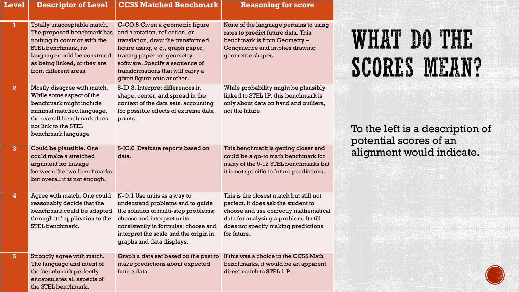| ${\color{MyBlue}\textrm{Level}}$ | <b>Descriptor of Level</b>                                                                                                                                                                            | <b>CCSS Matched Benchmark</b>                                                                                                                                                                                                                                                  | <b>Reasoning for score</b>                                                                                                                                                                                              |
|----------------------------------|-------------------------------------------------------------------------------------------------------------------------------------------------------------------------------------------------------|--------------------------------------------------------------------------------------------------------------------------------------------------------------------------------------------------------------------------------------------------------------------------------|-------------------------------------------------------------------------------------------------------------------------------------------------------------------------------------------------------------------------|
| ı                                | Totally unacceptable match.<br>The proposed benchmark has<br>nothing in common with the<br>STEL benchmark, no<br>language could be construed<br>as being linked, or they are<br>from different areas. | G-CO.5 Given a geometric figure<br>and a rotation, reflection, or<br>translation, draw the transformed<br>figure using, e.g., graph paper,<br>tracing paper, or geometry<br>software. Specify a sequence of<br>transformations that will carry a<br>given figure onto another. | None of the language pertains to using<br>rates to predict future data. This<br>benchmark is from Geometry -<br>Congruence and implies drawing<br>geometric shapes.                                                     |
| 2 <sub>2</sub>                   | Mostly disagree with match.<br>While some aspect of the<br>benchmark might include<br>minimal matched language,<br>the overall benchmark does<br>not link to the STEL<br>benchmark language           | S-ID.3. Interpret differences in<br>shape, center, and spread in the<br>context of the data sets, accounting<br>for possible effects of extreme data<br>points.                                                                                                                | While probability might be plausibly<br>linked to STEL 1P, this benchmark is<br>only about data on hand and outliers,<br>not the future.                                                                                |
| $\overline{3}$                   | Could be plausible. One<br>could make a stretched<br>argument for linkage<br>between the two benchmarks<br>but overall it is not enough.                                                              | S-IC.6 Evaluate reports based on<br>data.                                                                                                                                                                                                                                      | This benchmark is getting closer and<br>could be a go-to math benchmark for<br>many of the 9-12 STEL benchmarks but<br>it is not specific to future predictions.                                                        |
| $\overline{4}$                   | Agree with match. One could<br>reasonably decide that the<br>benchmark could be adapted<br>through its' application to the<br>STEL benchmark.                                                         | N-Q.1 Use units as a way to<br>understand problems and to guide<br>the solution of multi-step problems;<br>choose and interpret units<br>consistently in formulas; choose and<br>interpret the scale and the origin in<br>graphs and data displays.                            | This is the closest match but still not<br>perfect. It does ask the student to<br>choose and use correctly mathematical<br>data for analyzing a problem. It still<br>does not specify making predictions<br>for future. |
| 5 <sup>5</sup>                   | Strongly agree with match.<br>The language and intent of<br>the benchmark perfectly<br>encapsulates all aspects of<br>the STEL benchmark.                                                             | Graph a data set based on the past to<br>make predictions about expected<br>future data                                                                                                                                                                                        | If this was a choice in the CCSS Math<br>benchmarks, it would be an apparent<br>direct match to STEL 1-P                                                                                                                |

### **WHAT DO THE SCORES MEAN?**

To the left is a description of potential scores of an alignment would indicate.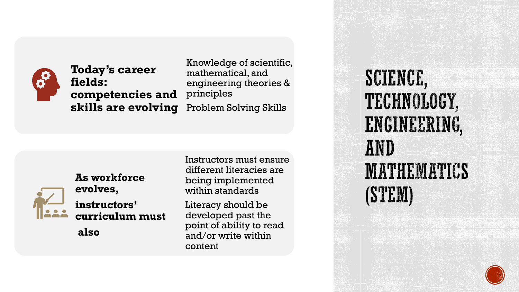

#### **Today's career fields: competencies and skills are evolving** Problem Solving Skills

Knowledge of scientific, mathematical, and engineering theories & principles



**As workforce evolves, instructors' curriculum must**

**also**

Instructors must ensure different literacies are being implemented within standards

Literacy should be developed past the point of ability to read and/or write within content

SCIENCE, TECHNOLOGY, ENGINEERING, AND **MATHEMATICS** (STEM)

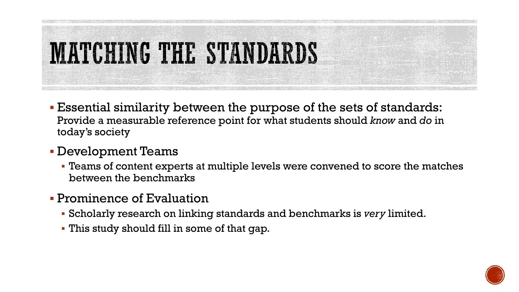

- Essential similarity between the purpose of the sets of standards: Provide a measurable reference point for what students should *know* and *do* in today's society
- Development Teams
	- Teams of content experts at multiple levels were convened to score the matches between the benchmarks
- **Prominence of Evaluation** 
	- Scholarly research on linking standards and benchmarks is *very* limited.
	- This study should fill in some of that gap.

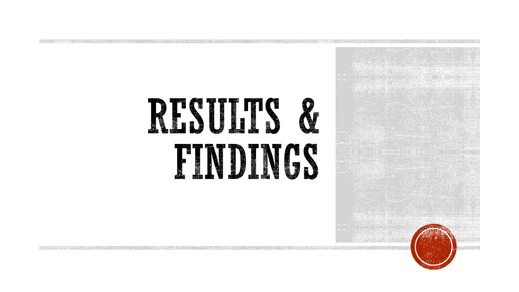

**TAXABLE PROPERTY** 

公使的 经分配率 化单元聚合法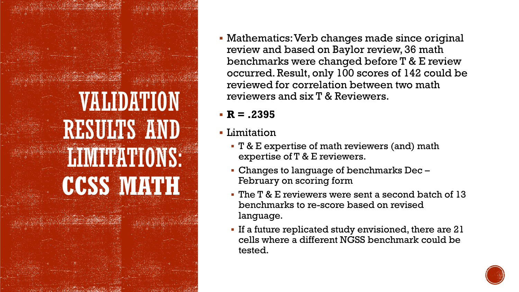# VALIDATION RESULTS AND LIMITATIONS: **CCSS MATH**

 Mathematics: Verb changes made since original review and based on Baylor review, 36 math benchmarks were changed before T & E review occurred. Result, only 100 scores of 142 could be reviewed for correlation between two math reviewers and six T & Reviewers.

#### **R = .2395**

- **-** Limitation
	- **T** & E expertise of math reviewers (and) math expertise of T & E reviewers.
	- Changes to language of benchmarks Dec February on scoring form
	- The T & E reviewers were sent a second batch of 13 benchmarks to re-score based on revised language.
	- If a future replicated study envisioned, there are 21 cells where a different NGSS benchmark could be tested.

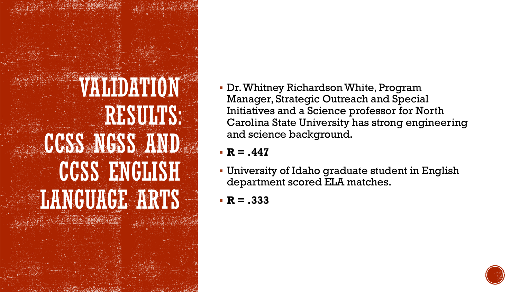# VALIDATION RESULTS: CCSS NGSS AND CCSS ENGLISH LANGUAGE ARTS

- Dr. Whitney Richardson White, Program Manager, Strategic Outreach and Special Initiatives and a Science professor for North Carolina State University has strong engineering and science background.
- **R = .447**
- University of Idaho graduate student in English department scored ELA matches.
- $R = .333$

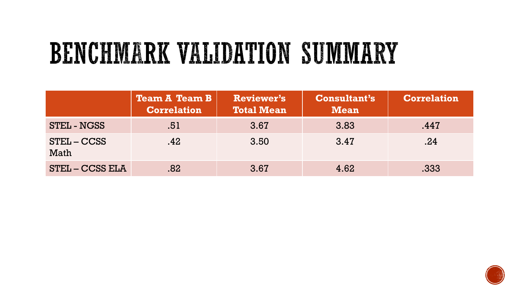# BENCHMARK VALIDATION SUMMARY

|                       | <b>Team A Team B</b><br><b>Correlation</b> | <b>Reviewer's</b><br><b>Total Mean</b> | <b>Consultant's</b><br><b>Mean</b> | <b>Correlation</b> |
|-----------------------|--------------------------------------------|----------------------------------------|------------------------------------|--------------------|
| <b>STEL - NGSS</b>    | .51                                        | 3.67                                   | 3.83                               | .447               |
| $STEL - CCSS$<br>Math | .42                                        | 3.50                                   | 3.47                               | .24                |
| <b>STEL-CCSS ELA</b>  | .82                                        | 3.67                                   | 4.62                               | .333               |

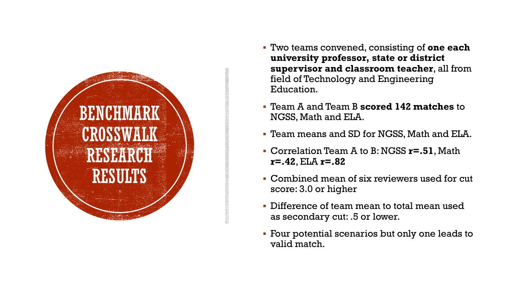

- Two teams convened, consisting of **one each university professor, state or district supervisor and classroom teacher**, all from field of Technology and Engineering Education.
- Team A and Team B **scored 142 matches** to NGSS, Math and ELA.
- Team means and SD for NGSS, Math and ELA.
- Correlation Team A to B: NGSS **r=.51**, Math **r=.42**, ELA **r=.82**
- Combined mean of six reviewers used for cut score: 3.0 or higher
- Difference of team mean to total mean used as secondary cut: .5 or lower.
- Four potential scenarios but only one leads to valid match.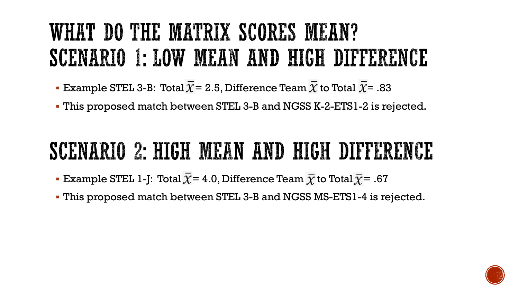### WHAT DO THE MATRIX SCORES MEAN? SCENARIO 1: LOW MEAN AND HIGH DIFFERENCE

- **Example STEL 3-B: Total**  $\overline{X}$  **= 2.5, Difference Team**  $\overline{X}$  **to Total**  $\overline{X}$  **= .83**
- This proposed match between STEL 3-B and NGSS K-2-ETS1-2 is rejected.

### SCENARIO 2: HIGH MEAN AND HIGH DIFFERENCE

- **Example STEL 1-J: Total**  $\overline{\chi}$  **= 4.0, Difference Team**  $\overline{\chi}$  **to Total**  $\overline{\chi}$  **= .67**
- This proposed match between STEL 3-B and NGSS MS-ETS1-4 is rejected.

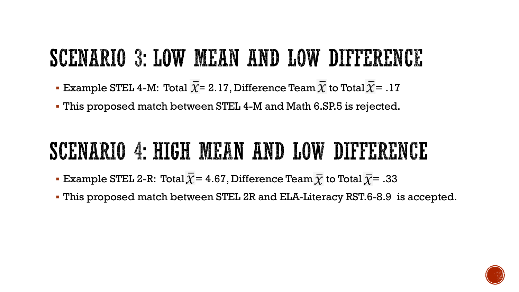### SCENARIO 3: LOW MEAN AND LOW DIFFERENCE

- Example STEL 4-M: Total  $\overline{\chi}$ = 2.17, Difference Team  $\overline{\chi}$  to Total  $\overline{\chi}$  = .17
- This proposed match between STEL 4-M and Math 6.SP.5 is rejected.

### SCENARIO 4: HIGH MEAN AND LOW DIFFERENCE

- **Example STEL 2-R: Total**  $\overline{\chi}$  **= 4.67, Difference Team**  $\overline{\chi}$  **to Total**  $\overline{\chi}$  **= .33**
- This proposed match between STEL 2R and ELA-Literacy RST.6-8.9 is accepted.

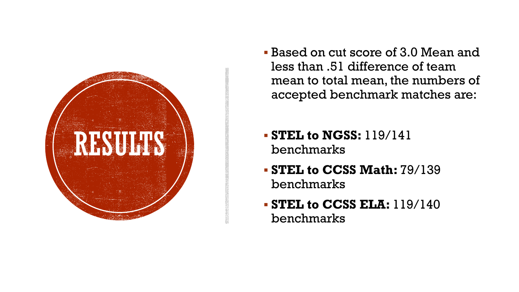

- Based on cut score of 3.0 Mean and less than .51 difference of team mean to total mean, the numbers of accepted benchmark matches are:
- **STEL to NGSS:** 119/141 benchmarks
- **STEL to CCSS Math:** 79/139 benchmarks
- **STEL to CCSS ELA:** 119/140 benchmarks